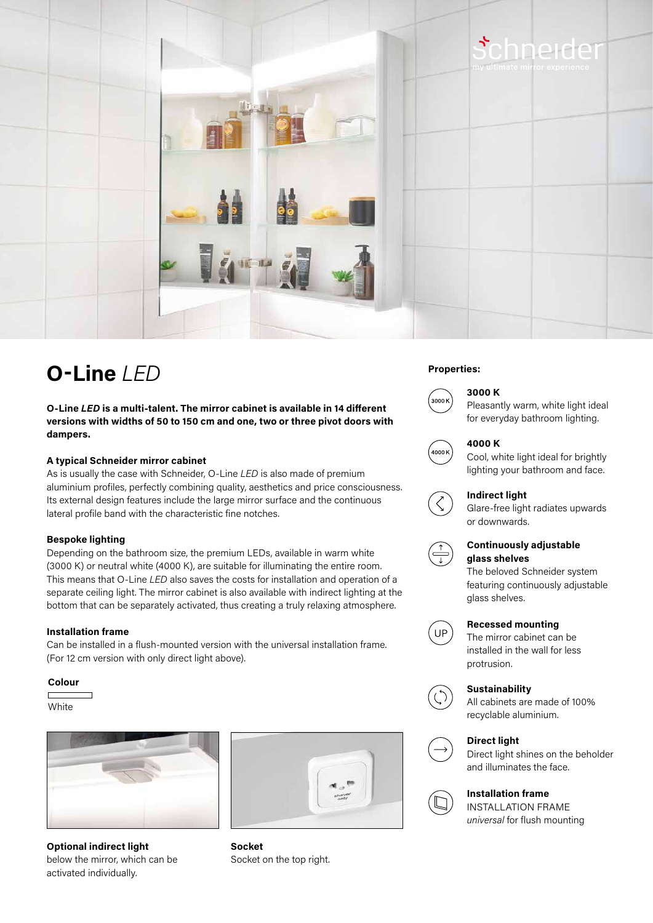



# **Properties: O-Line** *LED*

**O-Line** *LED* **is a multi-talent. The mirror cabinet is available in 14 different versions with widths of 50 to 150 cm and one, two or three pivot doors with dampers.**

## **A typical Schneider mirror cabinet**

As is usually the case with Schneider, O-Line *LED* is also made of premium aluminium profiles, perfectly combining quality, aesthetics and price consciousness. Its external design features include the large mirror surface and the continuous lateral profile band with the characteristic fine notches.

### **Bespoke lighting**

Depending on the bathroom size, the premium LEDs, available in warm white (3000 K) or neutral white (4000 K), are suitable for illuminating the entire room. This means that O-Line *LED* also saves the costs for installation and operation of a separate ceiling light. The mirror cabinet is also available with indirect lighting at the bottom that can be separately activated, thus creating a truly relaxing atmosphere.

#### **Installation frame**

Can be installed in a flush-mounted version with the universal installation frame. (For 12 cm version with only direct light above).

#### **Colour**

White



**Optional indirect light**  below the mirror, which can be activated individually.



**Socket**  Socket on the top right.



### **3000 K**

Pleasantly warm, white light ideal for everyday bathroom lighting.



#### **4000 K**

Cool, white light ideal for brightly lighting your bathroom and face.

#### **Indirect light**

Glare-free light radiates upwards or downwards.



## **Continuously adjustable glass shelves**

The beloved Schneider system featuring continuously adjustable glass shelves.



## **Recessed mounting**

The mirror cabinet can be installed in the wall for less protrusion.

# **Sustainability**



All cabinets are made of 100% recyclable aluminium.





Direct light shines on the beholder and illuminates the face.



## **Installation frame**

INSTALLATION FRAME *universal* for flush mounting